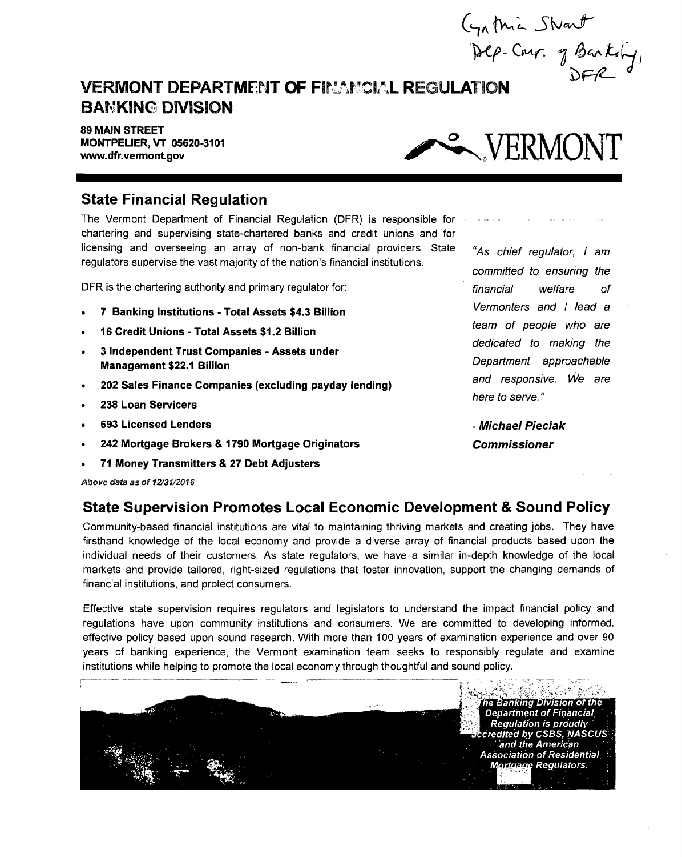Stvart Carr. of Banking  $\boldsymbol{\phi}$ 

## **VERMONT DEPARTMENT OF FINANCIAL REGULATION BAVKINO DIVISION**

**89 MAIN STREET MONTPELIER, VT 06620-3101** 



#### **State Financial Regulation**

The Vermont Department of Financial Regulation (DFR) is responsible for chartering and supervising state-chartered banks and credit unions and for licensing and overseeing an array of non-bank financial providers. State regulators supervise the vast majority of the nation's financial institutions.

DFR is the chartering authority and primary regulator for:

- **7 Banking Institutions Total Assets \$4.3 Billion**
- **16 Credit Unions Total Assets \$1.2 Billion**
- **3 Independent Trust Companies Assets under Management \$22.1 Billion**
- **202 Sales Finance Companies (excluding payday lending)**
- **238 Loan Servicers**
- **693 Licensed Lenders**
- **242 Mortgage Brokers & 1790 Mortgage Originators**
- **71 Money Transmitters & 27 Debt Adjusters**

Above data as of 12/31/2016

#### **State Supervision Promotes Local Economic Development & Sound Policy**

Community-based financial institutions are vital to maintaining thriving markets and creating jobs. They have firsthand knowledge of the local economy and provide a diverse array of financial products based upon the individual needs of their customers. As state regulators, we have a similar in-depth knowledge of the local markets and provide tailored, right-sized regulations that foster innovation, support the changing demands of financial institutions, and protect consumers.

Effective state supervision requires regulators and legislators to understand the impact financial policy and regulations have upon community institutions and consumers. We are committed to developing informed, effective policy based upon sound research. With more than 100 years of examination experience and over 90 years of banking experience, the Vermont examination team seeks to responsibly regulate and examine institutions while helping to promote the local economy through thoughtful and sound policy.



"As chief regulator, I am committed to ensuring the financial welfare of Vermonters and I lead a team of people who are dedicated to making the Department approachable and responsive. We are here to serve."

**- Michael Pieciak Commissioner**